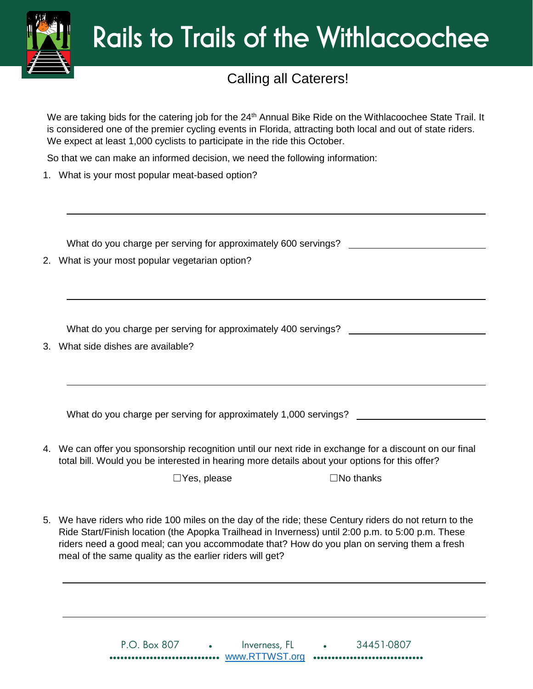

## Rails to Trails of the Withlacoochee

## Calling all Caterers!

We are taking bids for the catering job for the 24<sup>th</sup> Annual Bike Ride on the Withlacoochee State Trail. It is considered one of the premier cycling events in Florida, attracting both local and out of state riders. We expect at least 1,000 cyclists to participate in the ride this October.

So that we can make an informed decision, we need the following information:

1. What is your most popular meat-based option?

What do you charge per serving for approximately 600 servings?

2. What is your most popular vegetarian option?

What do you charge per serving for approximately 400 servings?

3. What side dishes are available?

What do you charge per serving for approximately 1,000 servings?

4. We can offer you sponsorship recognition until our next ride in exchange for a discount on our final total bill. Would you be interested in hearing more details about your options for this offer?

☐Yes, please ☐No thanks

5. We have riders who ride 100 miles on the day of the ride; these Century riders do not return to the Ride Start/Finish location (the Apopka Trailhead in Inverness) until 2:00 p.m. to 5:00 p.m. These riders need a good meal; can you accommodate that? How do you plan on serving them a fresh meal of the same quality as the earlier riders will get?